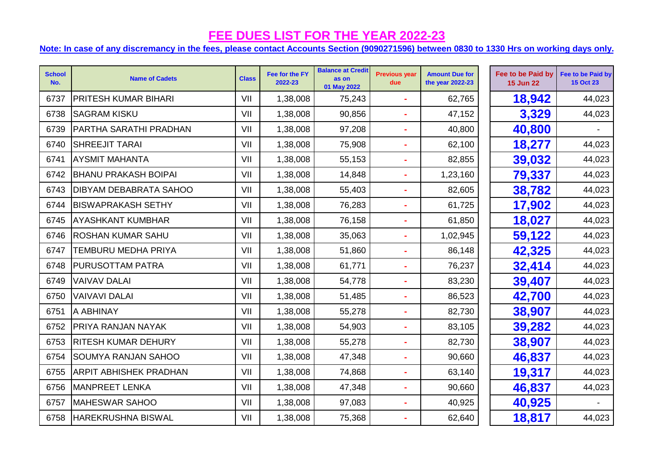## **FEE DUES LIST FOR THE YEAR 2022-23**

## **Note: In case of any discremancy in the fees, please contact Accounts Section (9090271596) between 0830 to 1330 Hrs on working days only.**

| <b>School</b><br>No. | <b>Name of Cadets</b>         | <b>Class</b> | Fee for the FY<br>2022-23 | <b>Balance at Credit</b><br>as on<br>01 May 2022 | <b>Previous year</b><br>due | <b>Amount Due for</b><br>the year 2022-23 | Fee to be Paid by<br><b>15 Jun 22</b> | Fee to be Paid by<br><b>15 Oct 23</b> |
|----------------------|-------------------------------|--------------|---------------------------|--------------------------------------------------|-----------------------------|-------------------------------------------|---------------------------------------|---------------------------------------|
| 6737                 | PRITESH KUMAR BIHARI          | VII          | 1,38,008                  | 75,243                                           |                             | 62,765                                    | 18,942                                | 44,023                                |
| 6738                 | <b>SAGRAM KISKU</b>           | VII          | 1,38,008                  | 90,856                                           |                             | 47,152                                    | 3,329                                 | 44,023                                |
| 6739                 | <b>PARTHA SARATHI PRADHAN</b> | VII          | 1,38,008                  | 97,208                                           |                             | 40,800                                    | 40,800                                |                                       |
| 6740                 | <b>SHREEJIT TARAI</b>         | VII          | 1,38,008                  | 75,908                                           | $\blacksquare$              | 62,100                                    | 18,277                                | 44,023                                |
| 6741                 | <b>AYSMIT MAHANTA</b>         | VII          | 1,38,008                  | 55,153                                           |                             | 82,855                                    | 39,032                                | 44,023                                |
| 6742                 | <b>BHANU PRAKASH BOIPAI</b>   | VII          | 1,38,008                  | 14,848                                           |                             | 1,23,160                                  | 79,337                                | 44,023                                |
| 6743                 | <b>DIBYAM DEBABRATA SAHOO</b> | VII          | 1,38,008                  | 55,403                                           |                             | 82,605                                    | 38,782                                | 44,023                                |
| 6744                 | <b>BISWAPRAKASH SETHY</b>     | VII          | 1,38,008                  | 76,283                                           |                             | 61,725                                    | 17,902                                | 44,023                                |
| 6745                 | <b>AYASHKANT KUMBHAR</b>      | VII          | 1,38,008                  | 76,158                                           |                             | 61,850                                    | 18,027                                | 44,023                                |
| 6746                 | <b>ROSHAN KUMAR SAHU</b>      | VII          | 1,38,008                  | 35,063                                           |                             | 1,02,945                                  | 59,122                                | 44,023                                |
| 6747                 | TEMBURU MEDHA PRIYA           | VII          | 1,38,008                  | 51,860                                           | $\blacksquare$              | 86,148                                    | 42,325                                | 44,023                                |
| 6748                 | <b>PURUSOTTAM PATRA</b>       | VII          | 1,38,008                  | 61,771                                           | $\blacksquare$              | 76,237                                    | 32,414                                | 44,023                                |
| 6749                 | <b>VAIVAV DALAI</b>           | VII          | 1,38,008                  | 54,778                                           | $\blacksquare$              | 83,230                                    | 39,407                                | 44,023                                |
| 6750                 | <b>VAIVAVI DALAI</b>          | VII          | 1,38,008                  | 51,485                                           | ÷                           | 86,523                                    | 42,700                                | 44,023                                |
| 6751                 | A ABHINAY                     | VII          | 1,38,008                  | 55,278                                           |                             | 82,730                                    | 38,907                                | 44,023                                |
| 6752                 | PRIYA RANJAN NAYAK            | VII          | 1,38,008                  | 54,903                                           |                             | 83,105                                    | 39,282                                | 44,023                                |
| 6753                 | <b>RITESH KUMAR DEHURY</b>    | VII          | 1,38,008                  | 55,278                                           |                             | 82,730                                    | 38,907                                | 44,023                                |
| 6754                 | <b>SOUMYA RANJAN SAHOO</b>    | VII          | 1,38,008                  | 47,348                                           | $\blacksquare$              | 90,660                                    | 46,837                                | 44,023                                |
| 6755                 | <b>ARPIT ABHISHEK PRADHAN</b> | VII          | 1,38,008                  | 74,868                                           |                             | 63,140                                    | 19,317                                | 44,023                                |
| 6756                 | MANPREET LENKA                | VII          | 1,38,008                  | 47,348                                           | ä,                          | 90,660                                    | 46,837                                | 44,023                                |
| 6757                 | <b>MAHESWAR SAHOO</b>         | VII          | 1,38,008                  | 97,083                                           |                             | 40,925                                    | 40,925                                |                                       |
| 6758                 | <b>HAREKRUSHNA BISWAL</b>     | VII          | 1,38,008                  | 75,368                                           |                             | 62,640                                    | 18,817                                | 44,023                                |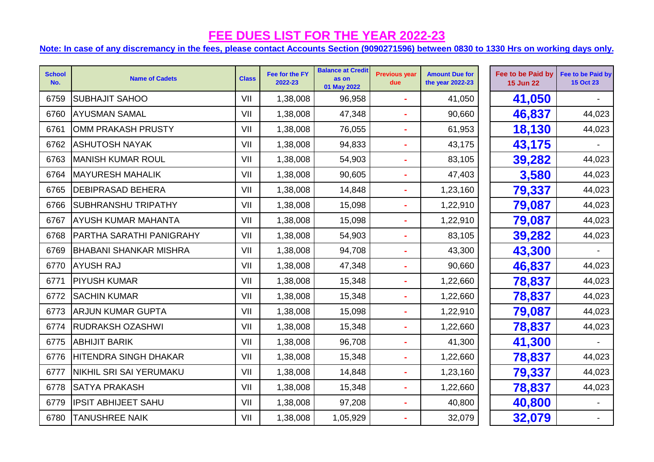## **FEE DUES LIST FOR THE YEAR 2022-23**

**Note: In case of any discremancy in the fees, please contact Accounts Section (9090271596) between 0830 to 1330 Hrs on working days only.**

| <b>School</b><br>No. | <b>Name of Cadets</b>           | <b>Class</b> | Fee for the FY<br>2022-23 | <b>Balance at Credit</b><br>as on<br>01 May 2022 | <b>Previous year</b><br>due | <b>Amount Due for</b><br>the year 2022-23 | Fee to be Paid by<br><b>15 Jun 22</b> | Fee to be Paid by<br><b>15 Oct 23</b> |
|----------------------|---------------------------------|--------------|---------------------------|--------------------------------------------------|-----------------------------|-------------------------------------------|---------------------------------------|---------------------------------------|
| 6759                 | <b>SUBHAJIT SAHOO</b>           | VII          | 1,38,008                  | 96,958                                           | $\blacksquare$              | 41,050                                    | 41,050                                |                                       |
| 6760                 | <b>AYUSMAN SAMAL</b>            | VII          | 1,38,008                  | 47,348                                           |                             | 90,660                                    | 46,837                                | 44,023                                |
| 6761                 | OMM PRAKASH PRUSTY              | VII          | 1,38,008                  | 76,055                                           | $\blacksquare$              | 61,953                                    | 18,130                                | 44,023                                |
| 6762                 | <b>ASHUTOSH NAYAK</b>           | VII          | 1,38,008                  | 94,833                                           | $\blacksquare$              | 43,175                                    | 43,175                                |                                       |
| 6763                 | <b>MANISH KUMAR ROUL</b>        | VII          | 1,38,008                  | 54,903                                           | $\blacksquare$              | 83,105                                    | 39,282                                | 44,023                                |
| 6764                 | <b>MAYURESH MAHALIK</b>         | VII          | 1,38,008                  | 90,605                                           | $\tilde{\phantom{a}}$       | 47,403                                    | 3,580                                 | 44,023                                |
| 6765                 | <b>DEBIPRASAD BEHERA</b>        | VII          | 1,38,008                  | 14,848                                           | ä,                          | 1,23,160                                  | 79,337                                | 44,023                                |
| 6766                 | <b>SUBHRANSHU TRIPATHY</b>      | VII          | 1,38,008                  | 15,098                                           |                             | 1,22,910                                  | 79,087                                | 44,023                                |
| 6767                 | <b>AYUSH KUMAR MAHANTA</b>      | VII          | 1,38,008                  | 15,098                                           | ä,                          | 1,22,910                                  | 79,087                                | 44,023                                |
| 6768                 | <b>PARTHA SARATHI PANIGRAHY</b> | VII          | 1,38,008                  | 54,903                                           | $\blacksquare$              | 83,105                                    | 39,282                                | 44,023                                |
| 6769                 | <b>BHABANI SHANKAR MISHRA</b>   | VII          | 1,38,008                  | 94,708                                           | ä,                          | 43,300                                    | 43,300                                |                                       |
| 6770                 | <b>AYUSH RAJ</b>                | VII          | 1,38,008                  | 47,348                                           | $\blacksquare$              | 90,660                                    | 46,837                                | 44,023                                |
| 6771                 | <b>PIYUSH KUMAR</b>             | VII          | 1,38,008                  | 15,348                                           | $\tilde{\phantom{a}}$       | 1,22,660                                  | 78,837                                | 44,023                                |
| 6772                 | <b>SACHIN KUMAR</b>             | VII          | 1,38,008                  | 15,348                                           | $\blacksquare$              | 1,22,660                                  | 78,837                                | 44,023                                |
| 6773                 | <b>ARJUN KUMAR GUPTA</b>        | VII          | 1,38,008                  | 15,098                                           |                             | 1,22,910                                  | 79,087                                | 44,023                                |
| 6774                 | <b>RUDRAKSH OZASHWI</b>         | VII          | 1,38,008                  | 15,348                                           | ä,                          | 1,22,660                                  | 78,837                                | 44,023                                |
| 6775                 | <b>ABHIJIT BARIK</b>            | VII          | 1,38,008                  | 96,708                                           | ÷                           | 41,300                                    | 41,300                                |                                       |
| 6776                 | <b>HITENDRA SINGH DHAKAR</b>    | VII          | 1,38,008                  | 15,348                                           | $\blacksquare$              | 1,22,660                                  | 78,837                                | 44,023                                |
| 6777                 | NIKHIL SRI SAI YERUMAKU         | VII          | 1,38,008                  | 14,848                                           | $\blacksquare$              | 1,23,160                                  | 79,337                                | 44,023                                |
| 6778                 | <b>SATYA PRAKASH</b>            | VII          | 1,38,008                  | 15,348                                           | $\blacksquare$              | 1,22,660                                  | 78,837                                | 44,023                                |
| 6779                 | <b>IPSIT ABHIJEET SAHU</b>      | VII          | 1,38,008                  | 97,208                                           | ä,                          | 40,800                                    | 40,800                                |                                       |
| 6780                 | <b>TANUSHREE NAIK</b>           | VII          | 1,38,008                  | 1,05,929                                         |                             | 32,079                                    | 32,079                                |                                       |